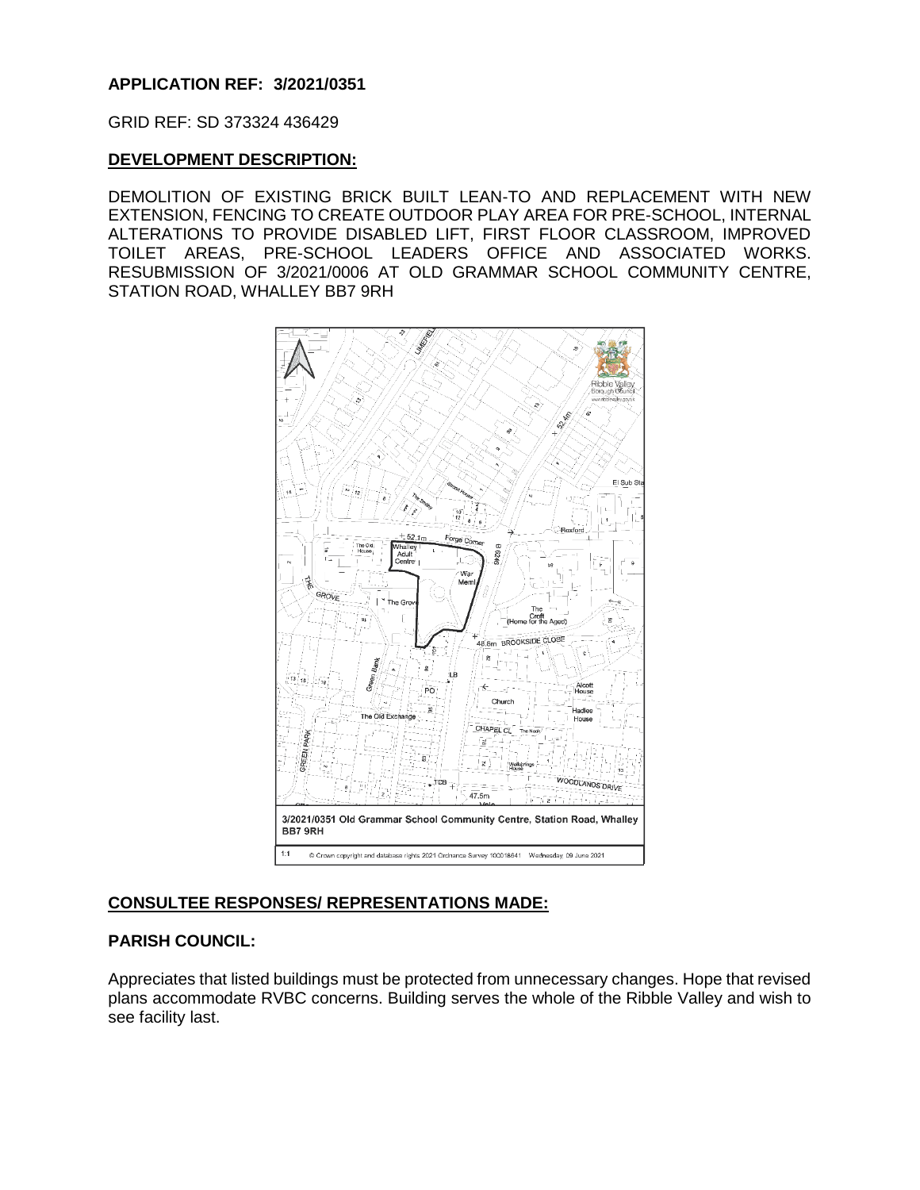## **APPLICATION REF: 3/2021/0351**

GRID REF: SD 373324 436429

### **DEVELOPMENT DESCRIPTION:**

DEMOLITION OF EXISTING BRICK BUILT LEAN-TO AND REPLACEMENT WITH NEW EXTENSION, FENCING TO CREATE OUTDOOR PLAY AREA FOR PRE-SCHOOL, INTERNAL ALTERATIONS TO PROVIDE DISABLED LIFT, FIRST FLOOR CLASSROOM, IMPROVED TOILET AREAS, PRE-SCHOOL LEADERS OFFICE AND ASSOCIATED WORKS. RESUBMISSION OF 3/2021/0006 AT OLD GRAMMAR SCHOOL COMMUNITY CENTRE, STATION ROAD, WHALLEY BB7 9RH



# **CONSULTEE RESPONSES/ REPRESENTATIONS MADE:**

# **PARISH COUNCIL:**

Appreciates that listed buildings must be protected from unnecessary changes. Hope that revised plans accommodate RVBC concerns. Building serves the whole of the Ribble Valley and wish to see facility last.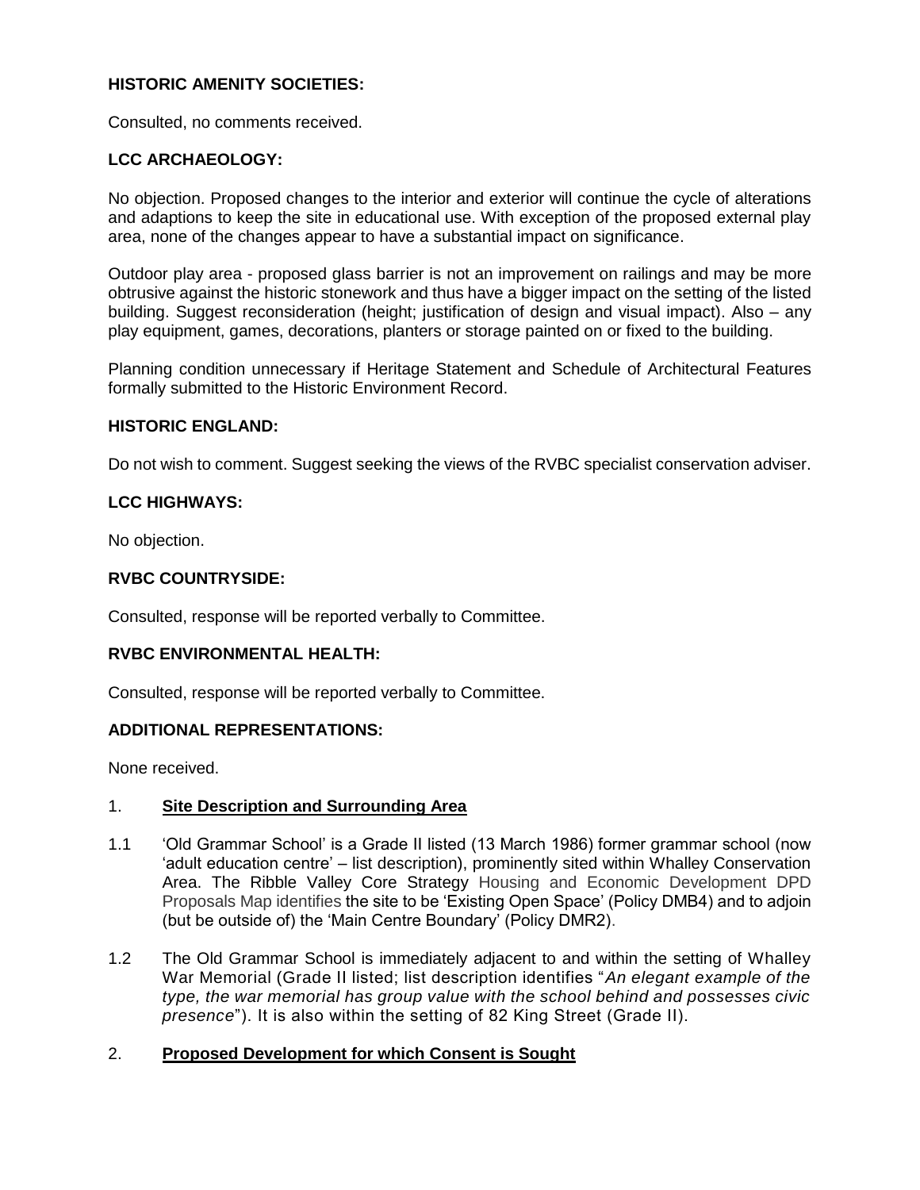# **HISTORIC AMENITY SOCIETIES:**

Consulted, no comments received.

# **LCC ARCHAEOLOGY:**

No objection. Proposed changes to the interior and exterior will continue the cycle of alterations and adaptions to keep the site in educational use. With exception of the proposed external play area, none of the changes appear to have a substantial impact on significance.

Outdoor play area - proposed glass barrier is not an improvement on railings and may be more obtrusive against the historic stonework and thus have a bigger impact on the setting of the listed building. Suggest reconsideration (height; justification of design and visual impact). Also – any play equipment, games, decorations, planters or storage painted on or fixed to the building.

Planning condition unnecessary if Heritage Statement and Schedule of Architectural Features formally submitted to the Historic Environment Record.

#### **HISTORIC ENGLAND:**

Do not wish to comment. Suggest seeking the views of the RVBC specialist conservation adviser.

#### **LCC HIGHWAYS:**

No objection.

# **RVBC COUNTRYSIDE:**

Consulted, response will be reported verbally to Committee.

#### **RVBC ENVIRONMENTAL HEALTH:**

Consulted, response will be reported verbally to Committee.

#### **ADDITIONAL REPRESENTATIONS:**

None received.

#### 1. **Site Description and Surrounding Area**

- 1.1 'Old Grammar School' is a Grade II listed (13 March 1986) former grammar school (now 'adult education centre' – list description), prominently sited within Whalley Conservation Area. The Ribble Valley Core Strategy Housing and Economic Development DPD Proposals Map identifies the site to be 'Existing Open Space' (Policy DMB4) and to adjoin (but be outside of) the 'Main Centre Boundary' (Policy DMR2).
- 1.2 The Old Grammar School is immediately adjacent to and within the setting of Whalley War Memorial (Grade II listed; list description identifies "*An elegant example of the type, the war memorial has group value with the school behind and possesses civic presence*"). It is also within the setting of 82 King Street (Grade II).

# 2. **Proposed Development for which Consent is Sought**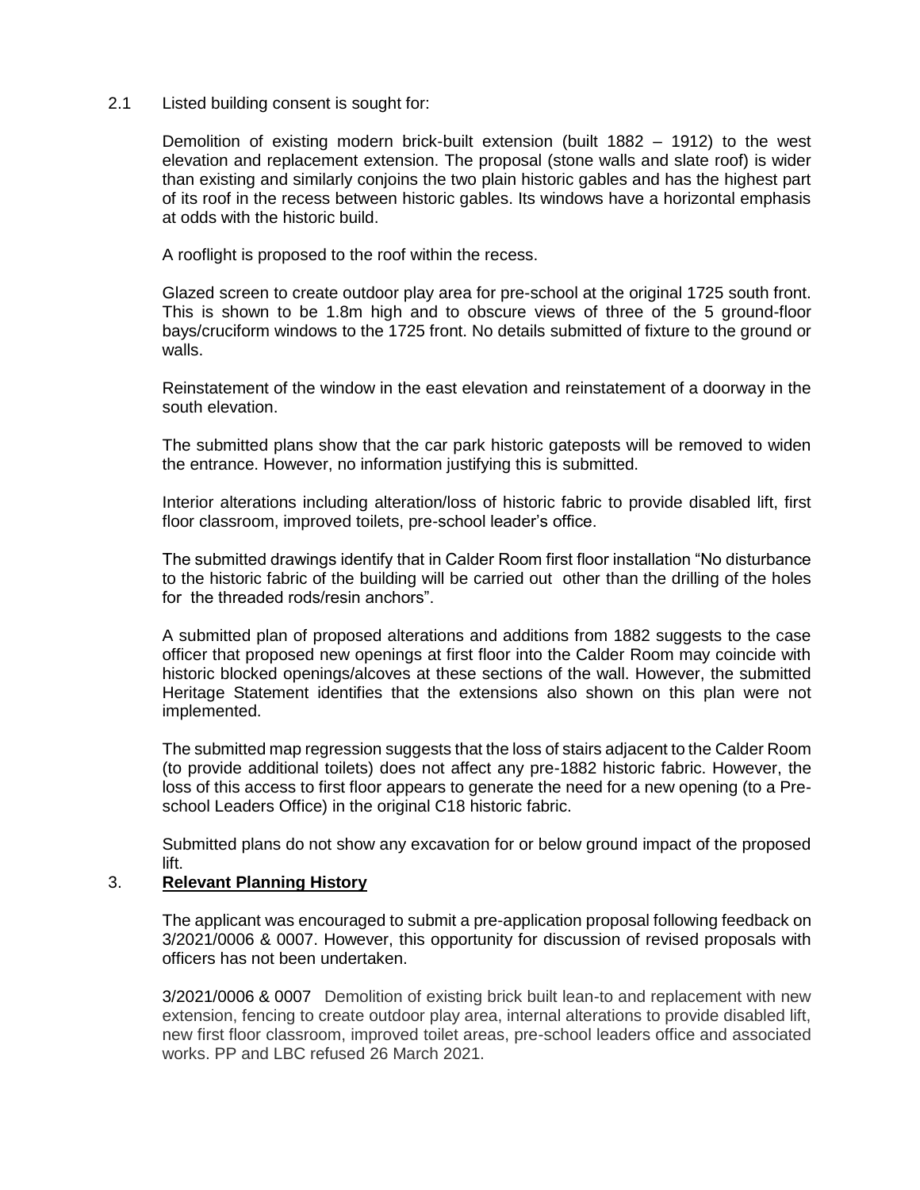### 2.1 Listed building consent is sought for:

Demolition of existing modern brick-built extension (built 1882 – 1912) to the west elevation and replacement extension. The proposal (stone walls and slate roof) is wider than existing and similarly conjoins the two plain historic gables and has the highest part of its roof in the recess between historic gables. Its windows have a horizontal emphasis at odds with the historic build.

A rooflight is proposed to the roof within the recess.

Glazed screen to create outdoor play area for pre-school at the original 1725 south front. This is shown to be 1.8m high and to obscure views of three of the 5 ground-floor bays/cruciform windows to the 1725 front. No details submitted of fixture to the ground or walls.

Reinstatement of the window in the east elevation and reinstatement of a doorway in the south elevation.

The submitted plans show that the car park historic gateposts will be removed to widen the entrance. However, no information justifying this is submitted.

Interior alterations including alteration/loss of historic fabric to provide disabled lift, first floor classroom, improved toilets, pre-school leader's office.

The submitted drawings identify that in Calder Room first floor installation "No disturbance to the historic fabric of the building will be carried out other than the drilling of the holes for the threaded rods/resin anchors".

A submitted plan of proposed alterations and additions from 1882 suggests to the case officer that proposed new openings at first floor into the Calder Room may coincide with historic blocked openings/alcoves at these sections of the wall. However, the submitted Heritage Statement identifies that the extensions also shown on this plan were not implemented.

The submitted map regression suggests that the loss of stairs adjacent to the Calder Room (to provide additional toilets) does not affect any pre-1882 historic fabric. However, the loss of this access to first floor appears to generate the need for a new opening (to a Preschool Leaders Office) in the original C18 historic fabric.

Submitted plans do not show any excavation for or below ground impact of the proposed lift.

#### 3. **Relevant Planning History**

The applicant was encouraged to submit a pre-application proposal following feedback on 3/2021/0006 & 0007. However, this opportunity for discussion of revised proposals with officers has not been undertaken.

3/2021/0006 & 0007 Demolition of existing brick built lean-to and replacement with new extension, fencing to create outdoor play area, internal alterations to provide disabled lift, new first floor classroom, improved toilet areas, pre-school leaders office and associated works. PP and LBC refused 26 March 2021.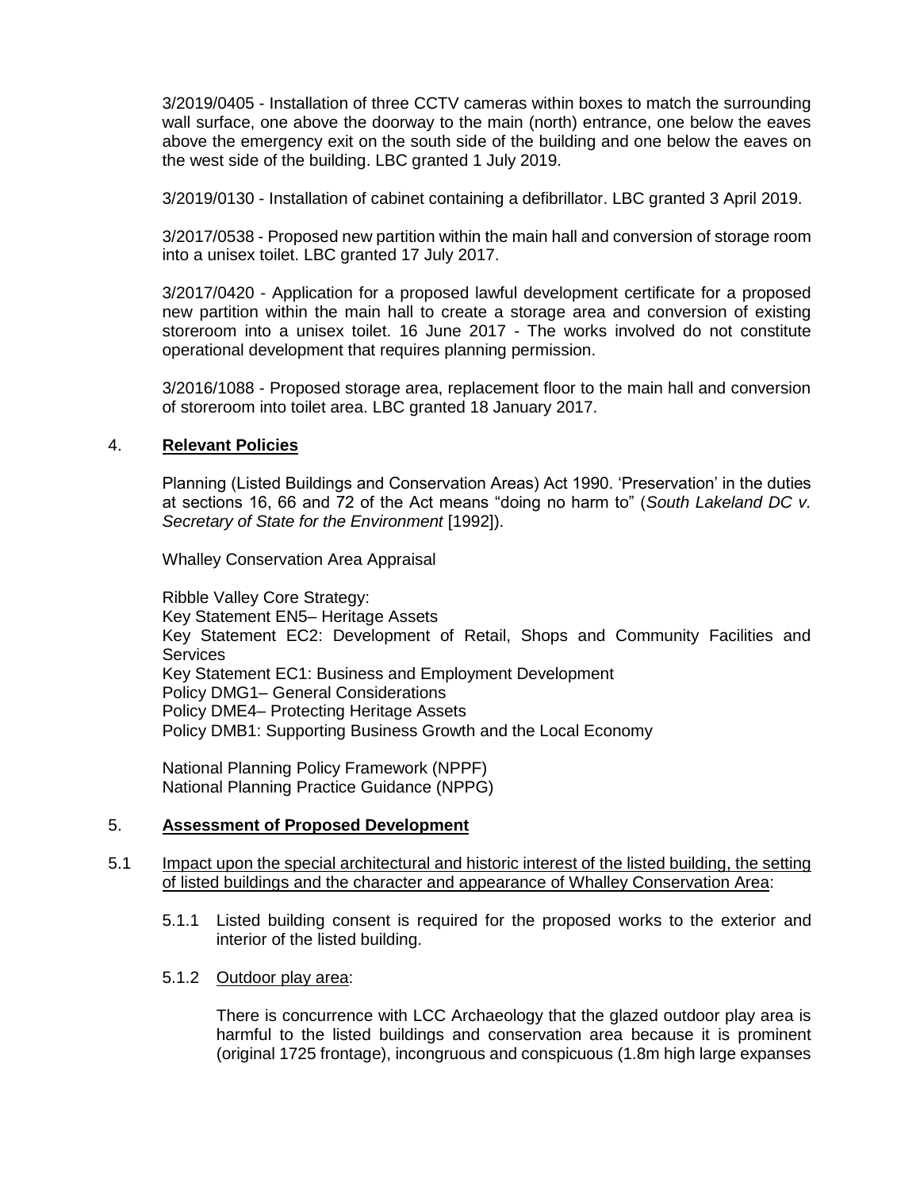3/2019/0405 - Installation of three CCTV cameras within boxes to match the surrounding wall surface, one above the doorway to the main (north) entrance, one below the eaves above the emergency exit on the south side of the building and one below the eaves on the west side of the building. LBC granted 1 July 2019.

3/2019/0130 - Installation of cabinet containing a defibrillator. LBC granted 3 April 2019.

3/2017/0538 - Proposed new partition within the main hall and conversion of storage room into a unisex toilet. LBC granted 17 July 2017.

3/2017/0420 - Application for a proposed lawful development certificate for a proposed new partition within the main hall to create a storage area and conversion of existing storeroom into a unisex toilet. 16 June 2017 - The works involved do not constitute operational development that requires planning permission.

3/2016/1088 - Proposed storage area, replacement floor to the main hall and conversion of storeroom into toilet area. LBC granted 18 January 2017.

#### 4. **Relevant Policies**

Planning (Listed Buildings and Conservation Areas) Act 1990. 'Preservation' in the duties at sections 16, 66 and 72 of the Act means "doing no harm to" (*South Lakeland DC v. Secretary of State for the Environment* [1992]).

Whalley Conservation Area Appraisal

Ribble Valley Core Strategy: Key Statement EN5– Heritage Assets Key Statement EC2: Development of Retail, Shops and Community Facilities and **Services** Key Statement EC1: Business and Employment Development Policy DMG1– General Considerations Policy DME4– Protecting Heritage Assets Policy DMB1: Supporting Business Growth and the Local Economy

National Planning Policy Framework (NPPF) National Planning Practice Guidance (NPPG)

#### 5. **Assessment of Proposed Development**

#### 5.1 Impact upon the special architectural and historic interest of the listed building, the setting of listed buildings and the character and appearance of Whalley Conservation Area:

5.1.1 Listed building consent is required for the proposed works to the exterior and interior of the listed building.

#### 5.1.2 Outdoor play area:

There is concurrence with LCC Archaeology that the glazed outdoor play area is harmful to the listed buildings and conservation area because it is prominent (original 1725 frontage), incongruous and conspicuous (1.8m high large expanses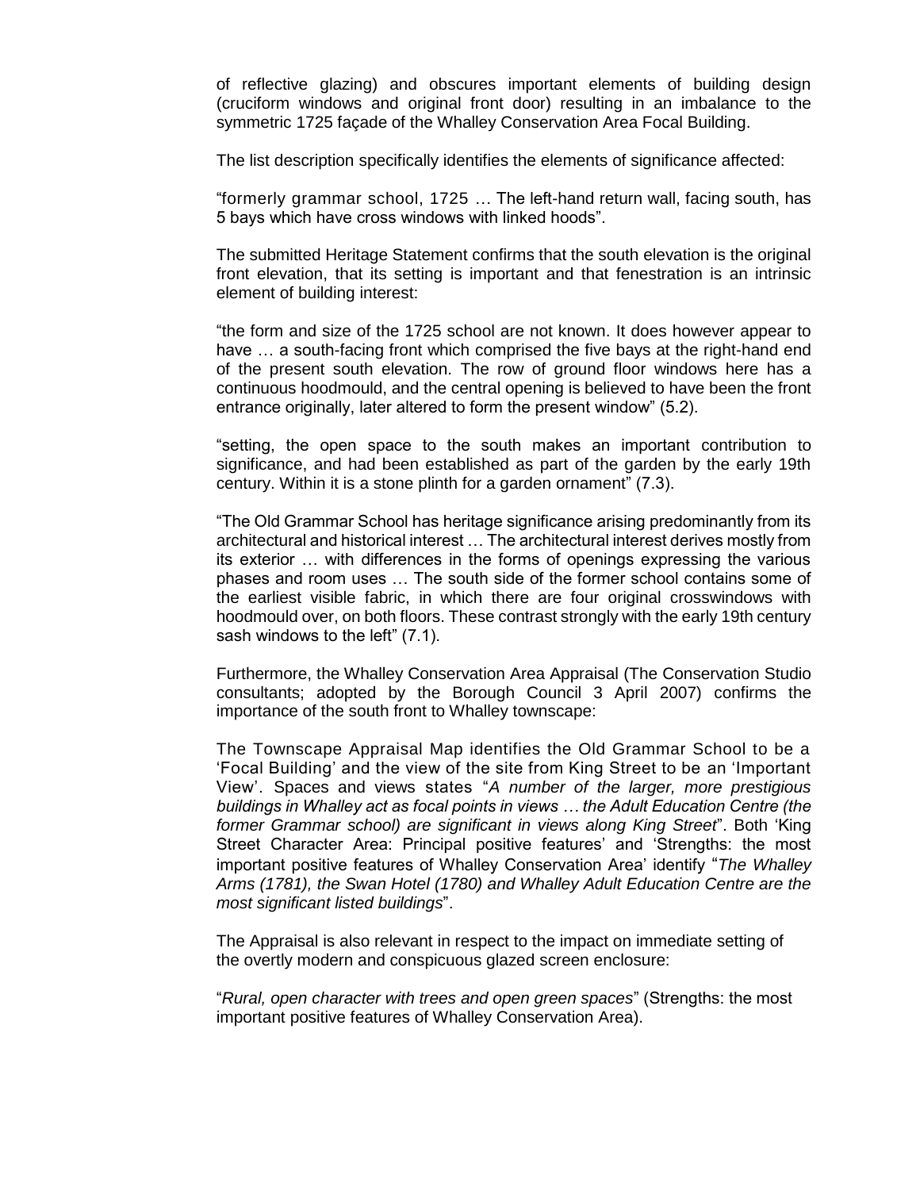of reflective glazing) and obscures important elements of building design (cruciform windows and original front door) resulting in an imbalance to the symmetric 1725 façade of the Whalley Conservation Area Focal Building.

The list description specifically identifies the elements of significance affected:

"formerly grammar school, 1725 … The left-hand return wall, facing south, has 5 bays which have cross windows with linked hoods".

The submitted Heritage Statement confirms that the south elevation is the original front elevation, that its setting is important and that fenestration is an intrinsic element of building interest:

"the form and size of the 1725 school are not known. It does however appear to have … a south-facing front which comprised the five bays at the right-hand end of the present south elevation. The row of ground floor windows here has a continuous hoodmould, and the central opening is believed to have been the front entrance originally, later altered to form the present window" (5.2).

"setting, the open space to the south makes an important contribution to significance, and had been established as part of the garden by the early 19th century. Within it is a stone plinth for a garden ornament" (7.3).

"The Old Grammar School has heritage significance arising predominantly from its architectural and historical interest … The architectural interest derives mostly from its exterior … with differences in the forms of openings expressing the various phases and room uses … The south side of the former school contains some of the earliest visible fabric, in which there are four original crosswindows with hoodmould over, on both floors. These contrast strongly with the early 19th century sash windows to the left" (7.1).

Furthermore, the Whalley Conservation Area Appraisal (The Conservation Studio consultants; adopted by the Borough Council 3 April 2007) confirms the importance of the south front to Whalley townscape:

The Townscape Appraisal Map identifies the Old Grammar School to be a 'Focal Building' and the view of the site from King Street to be an 'Important View'. Spaces and views states "*A number of the larger, more prestigious buildings in Whalley act as focal points in views … the Adult Education Centre (the former Grammar school) are significant in views along King Street*". Both 'King Street Character Area: Principal positive features' and 'Strengths: the most important positive features of Whalley Conservation Area' identify "*The Whalley Arms (1781), the Swan Hotel (1780) and Whalley Adult Education Centre are the most significant listed buildings*".

The Appraisal is also relevant in respect to the impact on immediate setting of the overtly modern and conspicuous glazed screen enclosure:

"*Rural, open character with trees and open green spaces*" (Strengths: the most important positive features of Whalley Conservation Area).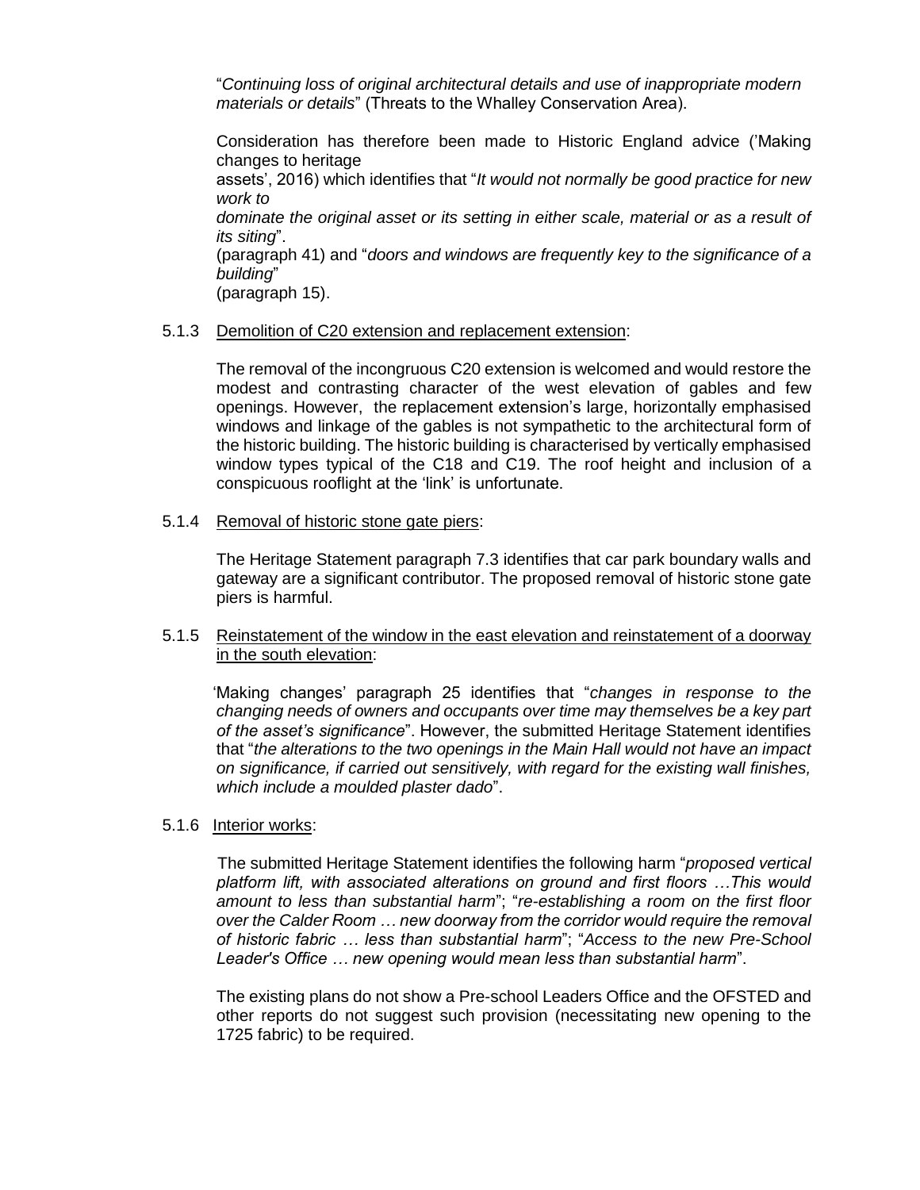"*Continuing loss of original architectural details and use of inappropriate modern materials or details*" (Threats to the Whalley Conservation Area).

Consideration has therefore been made to Historic England advice ('Making changes to heritage assets', 2016) which identifies that "*It would not normally be good practice for new work to dominate the original asset or its setting in either scale, material or as a result of its siting*". (paragraph 41) and "*doors and windows are frequently key to the significance of a building*"

(paragraph 15).

# 5.1.3 Demolition of C20 extension and replacement extension:

The removal of the incongruous C20 extension is welcomed and would restore the modest and contrasting character of the west elevation of gables and few openings. However, the replacement extension's large, horizontally emphasised windows and linkage of the gables is not sympathetic to the architectural form of the historic building. The historic building is characterised by vertically emphasised window types typical of the C18 and C19. The roof height and inclusion of a conspicuous rooflight at the 'link' is unfortunate.

5.1.4 Removal of historic stone gate piers:

The Heritage Statement paragraph 7.3 identifies that car park boundary walls and gateway are a significant contributor. The proposed removal of historic stone gate piers is harmful.

# 5.1.5 Reinstatement of the window in the east elevation and reinstatement of a doorway in the south elevation:

 'Making changes' paragraph 25 identifies that "*changes in response to the changing needs of owners and occupants over time may themselves be a key part of the asset's significance*". However, the submitted Heritage Statement identifies that "*the alterations to the two openings in the Main Hall would not have an impact on significance, if carried out sensitively, with regard for the existing wall finishes, which include a moulded plaster dado*".

# 5.1.6 Interior works:

 The submitted Heritage Statement identifies the following harm "*proposed vertical platform lift, with associated alterations on ground and first floors …This would amount to less than substantial harm*"; "*re-establishing a room on the first floor over the Calder Room … new doorway from the corridor would require the removal of historic fabric … less than substantial harm*"; "*Access to the new Pre-School Leader's Office … new opening would mean less than substantial harm*".

The existing plans do not show a Pre-school Leaders Office and the OFSTED and other reports do not suggest such provision (necessitating new opening to the 1725 fabric) to be required.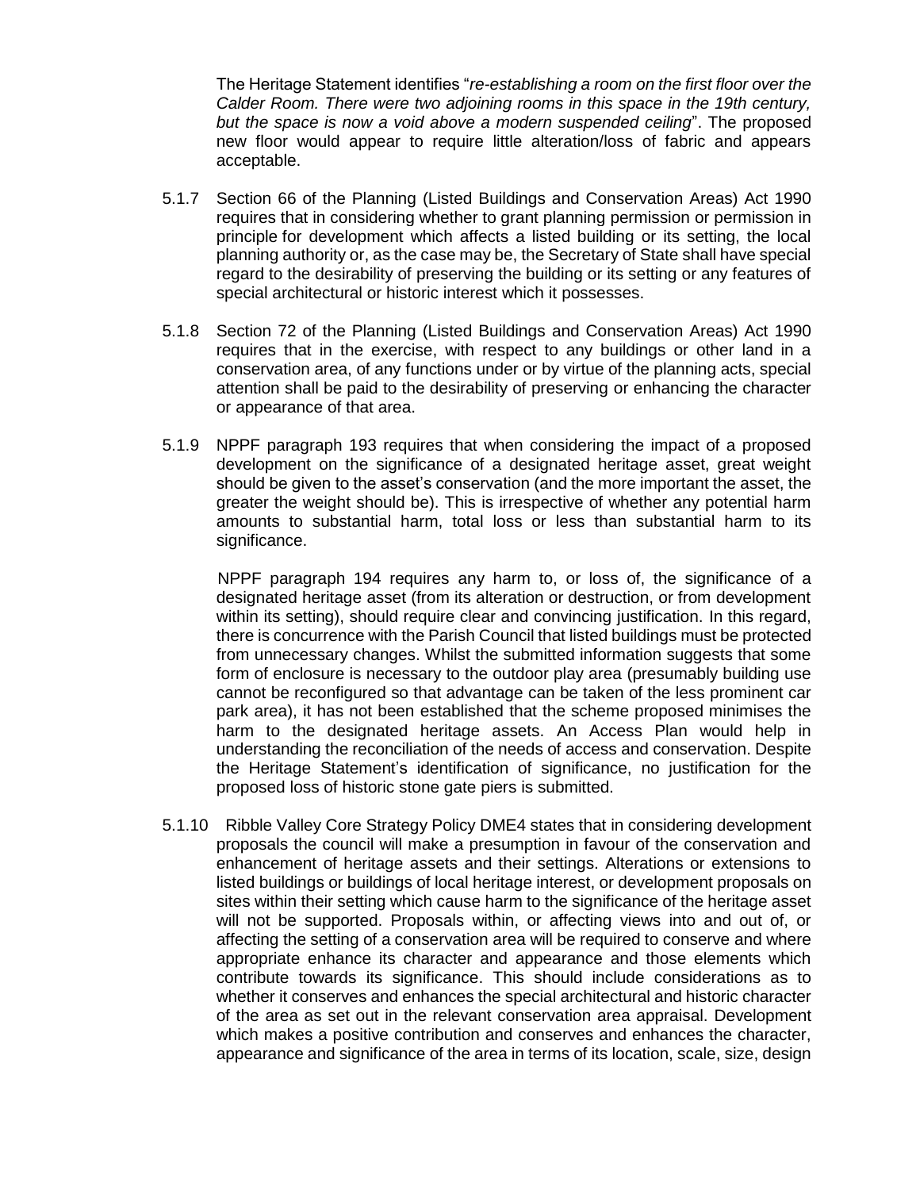The Heritage Statement identifies "*re-establishing a room on the first floor over the Calder Room. There were two adjoining rooms in this space in the 19th century, but the space is now a void above a modern suspended ceiling*". The proposed new floor would appear to require little alteration/loss of fabric and appears acceptable.

- 5.1.7 Section 66 of the Planning (Listed Buildings and Conservation Areas) Act 1990 requires that in considering whether to grant planning permission or permission in principle for development which affects a listed building or its setting, the local planning authority or, as the case may be, the Secretary of State shall have special regard to the desirability of preserving the building or its setting or any features of special architectural or historic interest which it possesses.
- 5.1.8 Section 72 of the Planning (Listed Buildings and Conservation Areas) Act 1990 requires that in the exercise, with respect to any buildings or other land in a conservation area, of any functions under or by virtue of the planning acts, special attention shall be paid to the desirability of preserving or enhancing the character or appearance of that area.
- 5.1.9 NPPF paragraph 193 requires that when considering the impact of a proposed development on the significance of a designated heritage asset, great weight should be given to the asset's conservation (and the more important the asset, the greater the weight should be). This is irrespective of whether any potential harm amounts to substantial harm, total loss or less than substantial harm to its significance.

 NPPF paragraph 194 requires any harm to, or loss of, the significance of a designated heritage asset (from its alteration or destruction, or from development within its setting), should require clear and convincing justification. In this regard, there is concurrence with the Parish Council that listed buildings must be protected from unnecessary changes. Whilst the submitted information suggests that some form of enclosure is necessary to the outdoor play area (presumably building use cannot be reconfigured so that advantage can be taken of the less prominent car park area), it has not been established that the scheme proposed minimises the harm to the designated heritage assets. An Access Plan would help in understanding the reconciliation of the needs of access and conservation. Despite the Heritage Statement's identification of significance, no justification for the proposed loss of historic stone gate piers is submitted.

5.1.10 Ribble Valley Core Strategy Policy DME4 states that in considering development proposals the council will make a presumption in favour of the conservation and enhancement of heritage assets and their settings. Alterations or extensions to listed buildings or buildings of local heritage interest, or development proposals on sites within their setting which cause harm to the significance of the heritage asset will not be supported. Proposals within, or affecting views into and out of, or affecting the setting of a conservation area will be required to conserve and where appropriate enhance its character and appearance and those elements which contribute towards its significance. This should include considerations as to whether it conserves and enhances the special architectural and historic character of the area as set out in the relevant conservation area appraisal. Development which makes a positive contribution and conserves and enhances the character, appearance and significance of the area in terms of its location, scale, size, design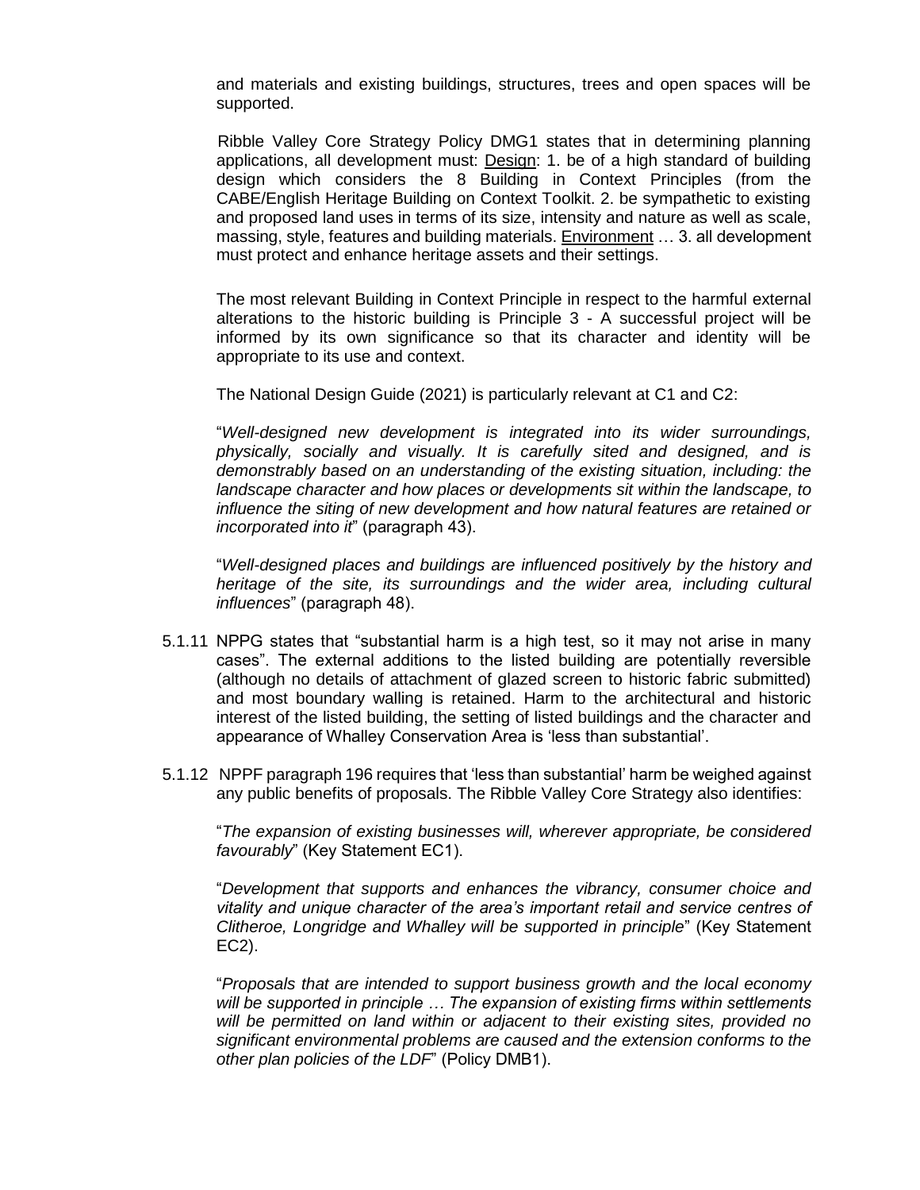and materials and existing buildings, structures, trees and open spaces will be supported.

 Ribble Valley Core Strategy Policy DMG1 states that in determining planning applications, all development must: Design: 1. be of a high standard of building design which considers the 8 Building in Context Principles (from the CABE/English Heritage Building on Context Toolkit. 2. be sympathetic to existing and proposed land uses in terms of its size, intensity and nature as well as scale, massing, style, features and building materials. Environment … 3. all development must protect and enhance heritage assets and their settings.

The most relevant Building in Context Principle in respect to the harmful external alterations to the historic building is Principle 3 - A successful project will be informed by its own significance so that its character and identity will be appropriate to its use and context.

The National Design Guide (2021) is particularly relevant at C1 and C2:

"*Well-designed new development is integrated into its wider surroundings, physically, socially and visually. It is carefully sited and designed, and is demonstrably based on an understanding of the existing situation, including: the landscape character and how places or developments sit within the landscape, to influence the siting of new development and how natural features are retained or incorporated into it*" (paragraph 43).

"*Well-designed places and buildings are influenced positively by the history and heritage of the site, its surroundings and the wider area, including cultural influences*" (paragraph 48).

- 5.1.11 NPPG states that "substantial harm is a high test, so it may not arise in many cases". The external additions to the listed building are potentially reversible (although no details of attachment of glazed screen to historic fabric submitted) and most boundary walling is retained. Harm to the architectural and historic interest of the listed building, the setting of listed buildings and the character and appearance of Whalley Conservation Area is 'less than substantial'.
- 5.1.12 NPPF paragraph 196 requires that 'less than substantial' harm be weighed against any public benefits of proposals. The Ribble Valley Core Strategy also identifies:

"*The expansion of existing businesses will, wherever appropriate, be considered favourably*" (Key Statement EC1).

"*Development that supports and enhances the vibrancy, consumer choice and vitality and unique character of the area's important retail and service centres of Clitheroe, Longridge and Whalley will be supported in principle*" (Key Statement EC2).

"*Proposals that are intended to support business growth and the local economy will be supported in principle … The expansion of existing firms within settlements will be permitted on land within or adjacent to their existing sites, provided no significant environmental problems are caused and the extension conforms to the other plan policies of the LDF*" (Policy DMB1).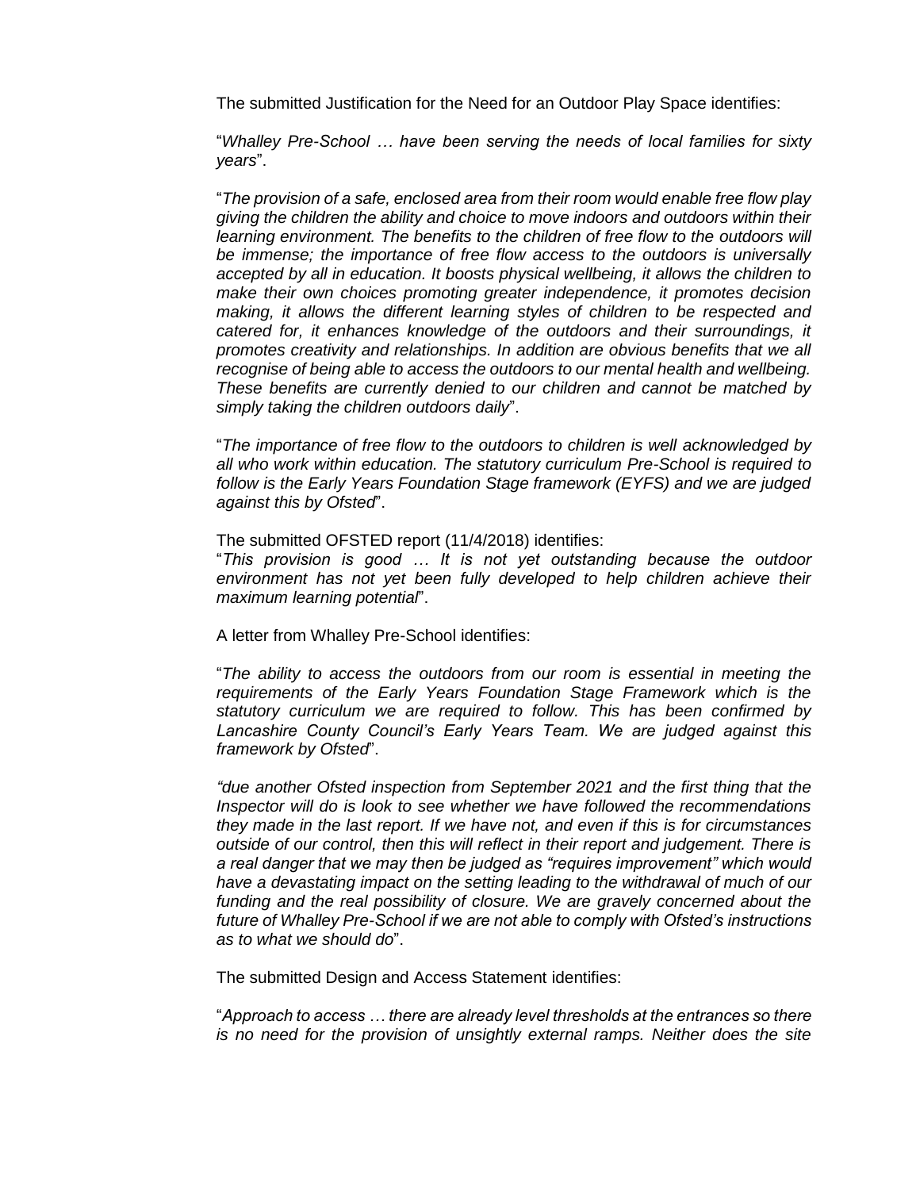The submitted Justification for the Need for an Outdoor Play Space identifies:

"*Whalley Pre-School … have been serving the needs of local families for sixty years*".

"*The provision of a safe, enclosed area from their room would enable free flow play giving the children the ability and choice to move indoors and outdoors within their learning environment. The benefits to the children of free flow to the outdoors will be immense; the importance of free flow access to the outdoors is universally accepted by all in education. It boosts physical wellbeing, it allows the children to make their own choices promoting greater independence, it promotes decision making, it allows the different learning styles of children to be respected and catered for, it enhances knowledge of the outdoors and their surroundings, it promotes creativity and relationships. In addition are obvious benefits that we all recognise of being able to access the outdoors to our mental health and wellbeing. These benefits are currently denied to our children and cannot be matched by simply taking the children outdoors daily*".

"*The importance of free flow to the outdoors to children is well acknowledged by all who work within education. The statutory curriculum Pre-School is required to follow is the Early Years Foundation Stage framework (EYFS) and we are judged against this by Ofsted*".

The submitted OFSTED report (11/4/2018) identifies:

"*This provision is good … It is not yet outstanding because the outdoor*  environment has not yet been fully developed to help children achieve their *maximum learning potential*".

A letter from Whalley Pre-School identifies:

"*The ability to access the outdoors from our room is essential in meeting the requirements of the Early Years Foundation Stage Framework which is the statutory curriculum we are required to follow. This has been confirmed by Lancashire County Council's Early Years Team. We are judged against this framework by Ofsted*".

*"due another Ofsted inspection from September 2021 and the first thing that the Inspector will do is look to see whether we have followed the recommendations they made in the last report. If we have not, and even if this is for circumstances outside of our control, then this will reflect in their report and judgement. There is a real danger that we may then be judged as "requires improvement" which would have a devastating impact on the setting leading to the withdrawal of much of our*  funding and the real possibility of closure. We are gravely concerned about the *future of Whalley Pre-School if we are not able to comply with Ofsted's instructions as to what we should do*".

The submitted Design and Access Statement identifies:

"*Approach to access … there are already level thresholds at the entrances so there is no need for the provision of unsightly external ramps. Neither does the site*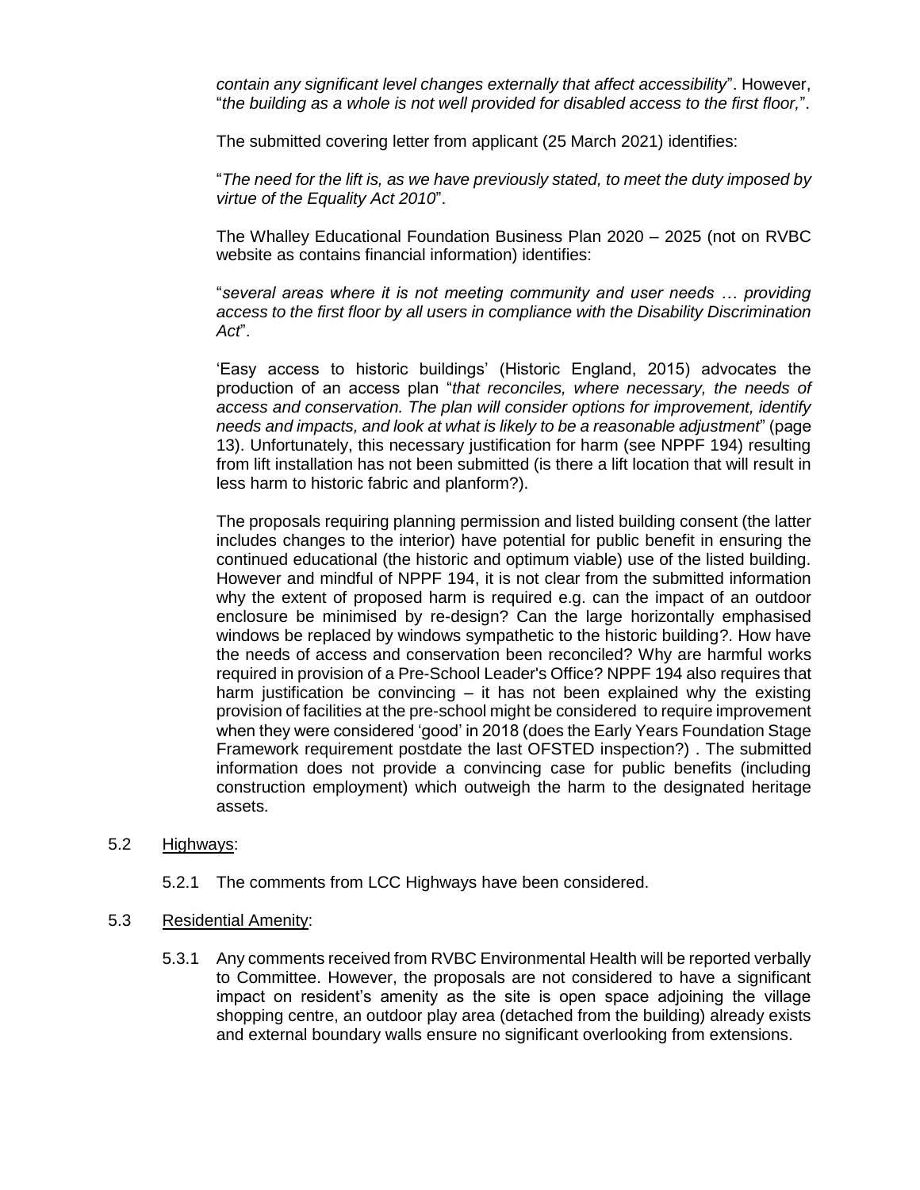*contain any significant level changes externally that affect accessibility*". However, "*the building as a whole is not well provided for disabled access to the first floor,*".

The submitted covering letter from applicant (25 March 2021) identifies:

"*The need for the lift is, as we have previously stated, to meet the duty imposed by virtue of the Equality Act 2010*".

The Whalley Educational Foundation Business Plan 2020 – 2025 (not on RVBC website as contains financial information) identifies:

"*several areas where it is not meeting community and user needs … providing access to the first floor by all users in compliance with the Disability Discrimination Act*".

'Easy access to historic buildings' (Historic England, 2015) advocates the production of an access plan "*that reconciles, where necessary, the needs of access and conservation. The plan will consider options for improvement, identify needs and impacts, and look at what is likely to be a reasonable adjustment*" (page 13). Unfortunately, this necessary justification for harm (see NPPF 194) resulting from lift installation has not been submitted (is there a lift location that will result in less harm to historic fabric and planform?).

The proposals requiring planning permission and listed building consent (the latter includes changes to the interior) have potential for public benefit in ensuring the continued educational (the historic and optimum viable) use of the listed building. However and mindful of NPPF 194, it is not clear from the submitted information why the extent of proposed harm is required e.g. can the impact of an outdoor enclosure be minimised by re-design? Can the large horizontally emphasised windows be replaced by windows sympathetic to the historic building?. How have the needs of access and conservation been reconciled? Why are harmful works required in provision of a Pre-School Leader's Office? NPPF 194 also requires that harm justification be convincing – it has not been explained why the existing provision of facilities at the pre-school might be considered to require improvement when they were considered 'good' in 2018 (does the Early Years Foundation Stage Framework requirement postdate the last OFSTED inspection?) . The submitted information does not provide a convincing case for public benefits (including construction employment) which outweigh the harm to the designated heritage assets.

#### 5.2 Highways:

- 5.2.1 The comments from LCC Highways have been considered.
- 5.3 Residential Amenity:
	- 5.3.1 Any comments received from RVBC Environmental Health will be reported verbally to Committee. However, the proposals are not considered to have a significant impact on resident's amenity as the site is open space adjoining the village shopping centre, an outdoor play area (detached from the building) already exists and external boundary walls ensure no significant overlooking from extensions.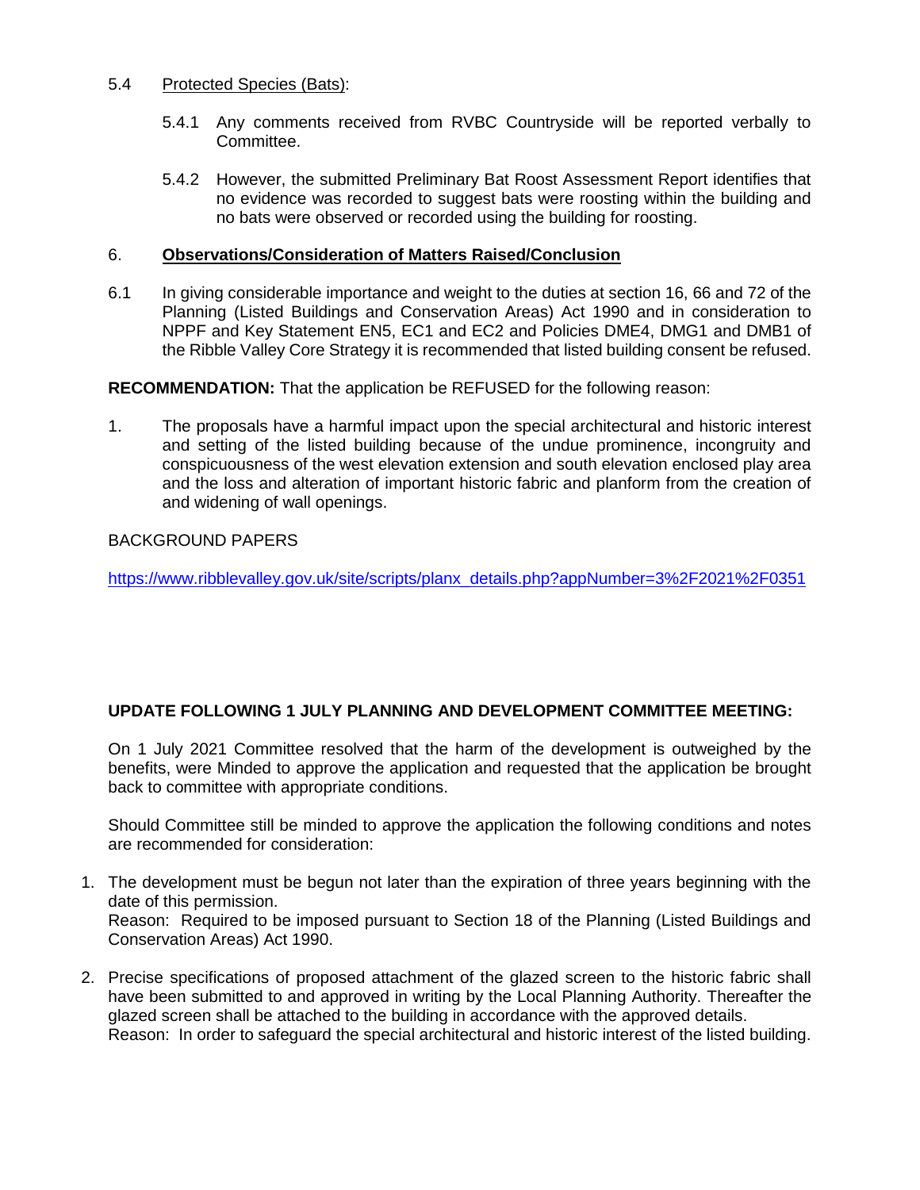## 5.4 Protected Species (Bats):

- 5.4.1 Any comments received from RVBC Countryside will be reported verbally to Committee.
- 5.4.2 However, the submitted Preliminary Bat Roost Assessment Report identifies that no evidence was recorded to suggest bats were roosting within the building and no bats were observed or recorded using the building for roosting.

### 6. **Observations/Consideration of Matters Raised/Conclusion**

6.1 In giving considerable importance and weight to the duties at section 16, 66 and 72 of the Planning (Listed Buildings and Conservation Areas) Act 1990 and in consideration to NPPF and Key Statement EN5, EC1 and EC2 and Policies DME4, DMG1 and DMB1 of the Ribble Valley Core Strategy it is recommended that listed building consent be refused.

**RECOMMENDATION:** That the application be REFUSED for the following reason:

1. The proposals have a harmful impact upon the special architectural and historic interest and setting of the listed building because of the undue prominence, incongruity and conspicuousness of the west elevation extension and south elevation enclosed play area and the loss and alteration of important historic fabric and planform from the creation of and widening of wall openings.

# BACKGROUND PAPERS

Conservation Areas) Act 1990.

[https://www.ribblevalley.gov.uk/site/scripts/planx\\_details.php?appNumber=3%2F2021%2F0351](https://www.ribblevalley.gov.uk/site/scripts/planx_details.php?appNumber=3%2F2021%2F0351)

# **UPDATE FOLLOWING 1 JULY PLANNING AND DEVELOPMENT COMMITTEE MEETING:**

On 1 July 2021 Committee resolved that the harm of the development is outweighed by the benefits, were Minded to approve the application and requested that the application be brought back to committee with appropriate conditions.

Should Committee still be minded to approve the application the following conditions and notes are recommended for consideration:

- 1. The development must be begun not later than the expiration of three years beginning with the date of this permission. Reason: Required to be imposed pursuant to Section 18 of the Planning (Listed Buildings and
- 2. Precise specifications of proposed attachment of the glazed screen to the historic fabric shall have been submitted to and approved in writing by the Local Planning Authority. Thereafter the glazed screen shall be attached to the building in accordance with the approved details. Reason: In order to safeguard the special architectural and historic interest of the listed building.